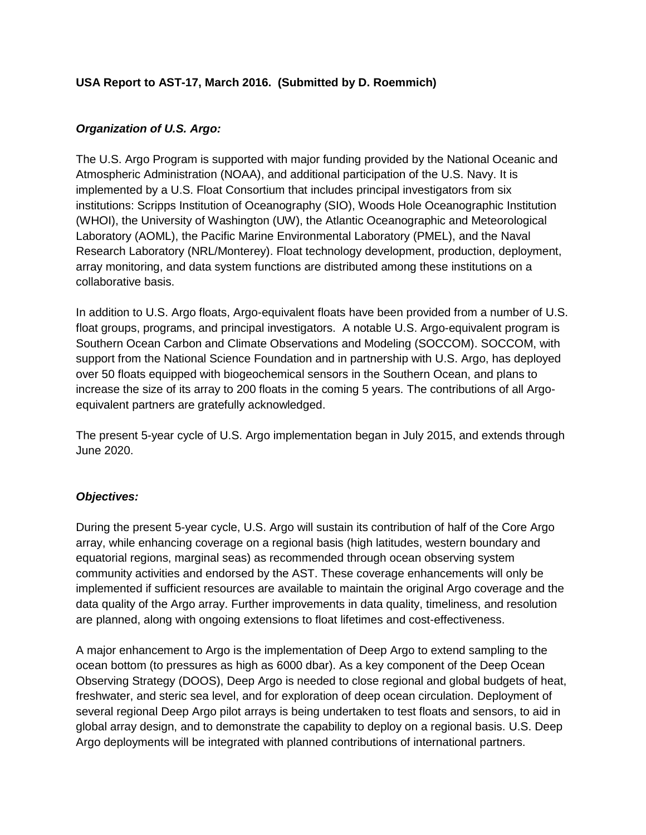# **USA Report to AST-17, March 2016. (Submitted by D. Roemmich)**

## *Organization of U.S. Argo:*

The U.S. Argo Program is supported with major funding provided by the National Oceanic and Atmospheric Administration (NOAA), and additional participation of the U.S. Navy. It is implemented by a U.S. Float Consortium that includes principal investigators from six institutions: Scripps Institution of Oceanography (SIO), Woods Hole Oceanographic Institution (WHOI), the University of Washington (UW), the Atlantic Oceanographic and Meteorological Laboratory (AOML), the Pacific Marine Environmental Laboratory (PMEL), and the Naval Research Laboratory (NRL/Monterey). Float technology development, production, deployment, array monitoring, and data system functions are distributed among these institutions on a collaborative basis.

In addition to U.S. Argo floats, Argo-equivalent floats have been provided from a number of U.S. float groups, programs, and principal investigators. A notable U.S. Argo-equivalent program is Southern Ocean Carbon and Climate Observations and Modeling (SOCCOM). SOCCOM, with support from the National Science Foundation and in partnership with U.S. Argo, has deployed over 50 floats equipped with biogeochemical sensors in the Southern Ocean, and plans to increase the size of its array to 200 floats in the coming 5 years. The contributions of all Argoequivalent partners are gratefully acknowledged.

The present 5-year cycle of U.S. Argo implementation began in July 2015, and extends through June 2020.

# *Objectives:*

During the present 5-year cycle, U.S. Argo will sustain its contribution of half of the Core Argo array, while enhancing coverage on a regional basis (high latitudes, western boundary and equatorial regions, marginal seas) as recommended through ocean observing system community activities and endorsed by the AST. These coverage enhancements will only be implemented if sufficient resources are available to maintain the original Argo coverage and the data quality of the Argo array. Further improvements in data quality, timeliness, and resolution are planned, along with ongoing extensions to float lifetimes and cost-effectiveness.

A major enhancement to Argo is the implementation of Deep Argo to extend sampling to the ocean bottom (to pressures as high as 6000 dbar). As a key component of the Deep Ocean Observing Strategy (DOOS), Deep Argo is needed to close regional and global budgets of heat, freshwater, and steric sea level, and for exploration of deep ocean circulation. Deployment of several regional Deep Argo pilot arrays is being undertaken to test floats and sensors, to aid in global array design, and to demonstrate the capability to deploy on a regional basis. U.S. Deep Argo deployments will be integrated with planned contributions of international partners.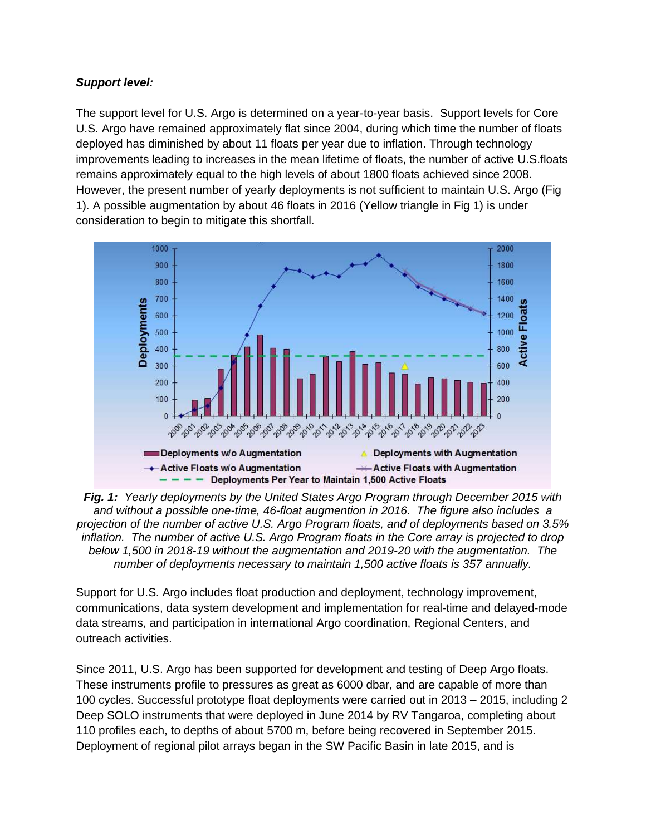## *Support level:*

The support level for U.S. Argo is determined on a year-to-year basis. Support levels for Core U.S. Argo have remained approximately flat since 2004, during which time the number of floats deployed has diminished by about 11 floats per year due to inflation. Through technology improvements leading to increases in the mean lifetime of floats, the number of active U.S.floats remains approximately equal to the high levels of about 1800 floats achieved since 2008. However, the present number of yearly deployments is not sufficient to maintain U.S. Argo (Fig 1). A possible augmentation by about 46 floats in 2016 (Yellow triangle in Fig 1) is under consideration to begin to mitigate this shortfall.



*Fig. 1: Yearly deployments by the United States Argo Program through December 2015 with and without a possible one-time, 46-float augmention in 2016. The figure also includes a projection of the number of active U.S. Argo Program floats, and of deployments based on 3.5% inflation. The number of active U.S. Argo Program floats in the Core array is projected to drop below 1,500 in 2018-19 without the augmentation and 2019-20 with the augmentation. The number of deployments necessary to maintain 1,500 active floats is 357 annually.*

Support for U.S. Argo includes float production and deployment, technology improvement, communications, data system development and implementation for real-time and delayed-mode data streams, and participation in international Argo coordination, Regional Centers, and outreach activities.

Since 2011, U.S. Argo has been supported for development and testing of Deep Argo floats. These instruments profile to pressures as great as 6000 dbar, and are capable of more than 100 cycles. Successful prototype float deployments were carried out in 2013 – 2015, including 2 Deep SOLO instruments that were deployed in June 2014 by RV Tangaroa, completing about 110 profiles each, to depths of about 5700 m, before being recovered in September 2015. Deployment of regional pilot arrays began in the SW Pacific Basin in late 2015, and is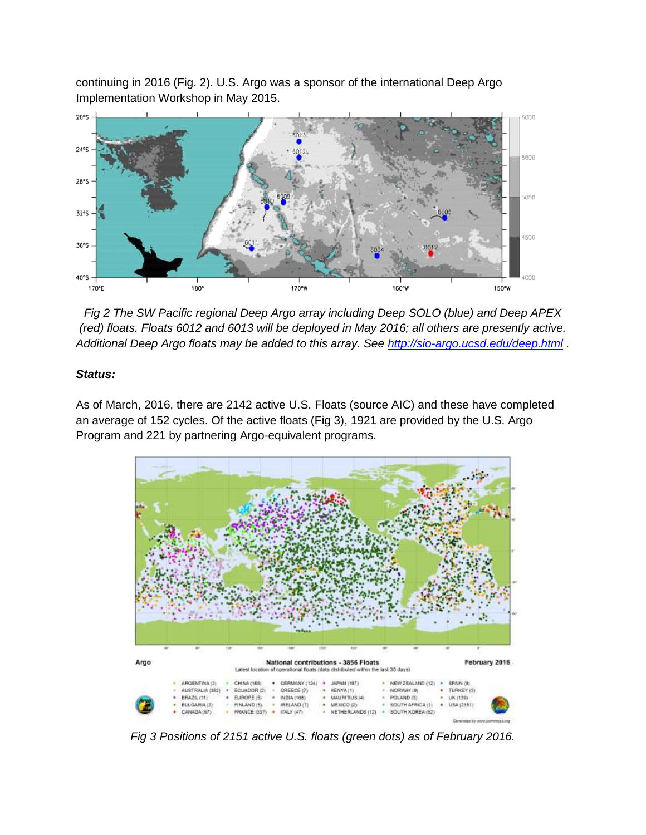continuing in 2016 (Fig. 2). U.S. Argo was a sponsor of the international Deep Argo Implementation Workshop in May 2015.



*Fig 2 The SW Pacific regional Deep Argo array including Deep SOLO (blue) and Deep APEX (red) floats. Floats 6012 and 6013 will be deployed in May 2016; all others are presently active. Additional Deep Argo floats may be added to this array. See<http://sio-argo.ucsd.edu/deep.html> .* 

### *Status:*

As of March, 2016, there are 2142 active U.S. Floats (source AIC) and these have completed an average of 152 cycles. Of the active floats (Fig 3), 1921 are provided by the U.S. Argo Program and 221 by partnering Argo-equivalent programs.



*Fig 3 Positions of 2151 active U.S. floats (green dots) as of February 2016.*